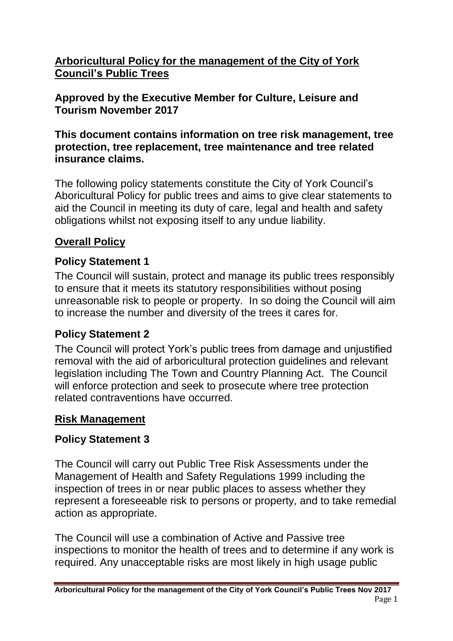**Arboricultural Policy for the management of the City of York Council's Public Trees** 

**Approved by the Executive Member for Culture, Leisure and Tourism November 2017**

#### **This document contains information on tree risk management, tree protection, tree replacement, tree maintenance and tree related insurance claims.**

The following policy statements constitute the City of York Council's Aboricultural Policy for public trees and aims to give clear statements to aid the Council in meeting its duty of care, legal and health and safety obligations whilst not exposing itself to any undue liability.

### **Overall Policy**

### **Policy Statement 1**

The Council will sustain, protect and manage its public trees responsibly to ensure that it meets its statutory responsibilities without posing unreasonable risk to people or property. In so doing the Council will aim to increase the number and diversity of the trees it cares for.

#### **Policy Statement 2**

The Council will protect York's public trees from damage and unjustified removal with the aid of arboricultural protection guidelines and relevant legislation including The Town and Country Planning Act. The Council will enforce protection and seek to prosecute where tree protection related contraventions have occurred.

#### **Risk Management**

### **Policy Statement 3**

The Council will carry out Public Tree Risk Assessments under the Management of Health and Safety Regulations 1999 including the inspection of trees in or near public places to assess whether they represent a foreseeable risk to persons or property, and to take remedial action as appropriate.

The Council will use a combination of Active and Passive tree inspections to monitor the health of trees and to determine if any work is required. Any unacceptable risks are most likely in high usage public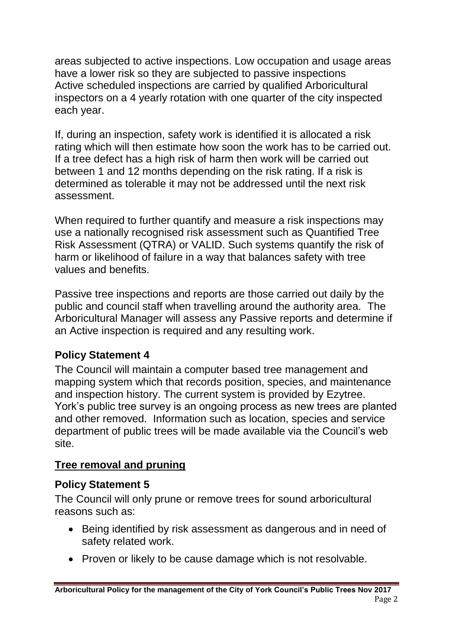areas subjected to active inspections. Low occupation and usage areas have a lower risk so they are subjected to passive inspections Active scheduled inspections are carried by qualified Arboricultural inspectors on a 4 yearly rotation with one quarter of the city inspected each year.

If, during an inspection, safety work is identified it is allocated a risk rating which will then estimate how soon the work has to be carried out. If a tree defect has a high risk of harm then work will be carried out between 1 and 12 months depending on the risk rating. If a risk is determined as tolerable it may not be addressed until the next risk assessment.

When required to further quantify and measure a risk inspections may use a nationally recognised risk assessment such as Quantified Tree Risk Assessment (QTRA) or VALID. Such systems quantify the risk of harm or likelihood of failure in a way that balances safety with tree values and benefits.

Passive tree inspections and reports are those carried out daily by the public and council staff when travelling around the authority area. The Arboricultural Manager will assess any Passive reports and determine if an Active inspection is required and any resulting work.

# **Policy Statement 4**

The Council will maintain a computer based tree management and mapping system which that records position, species, and maintenance and inspection history. The current system is provided by Ezytree. York's public tree survey is an ongoing process as new trees are planted and other removed. Information such as location, species and service department of public trees will be made available via the Council's web site.

# **Tree removal and pruning**

# **Policy Statement 5**

The Council will only prune or remove trees for sound arboricultural reasons such as:

- Being identified by risk assessment as dangerous and in need of safety related work.
- Proven or likely to be cause damage which is not resolvable.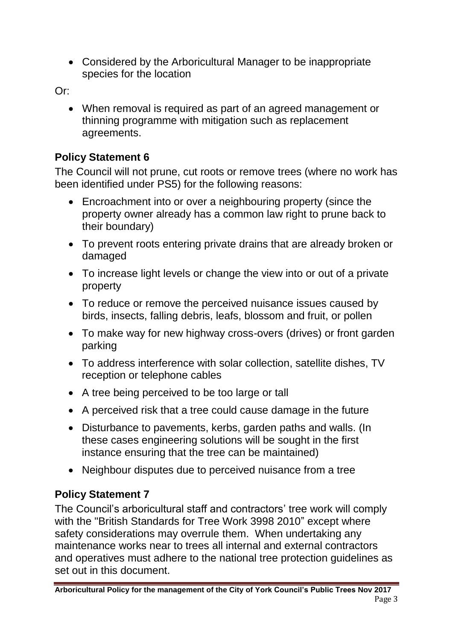Considered by the Arboricultural Manager to be inappropriate species for the location

Or:

 When removal is required as part of an agreed management or thinning programme with mitigation such as replacement agreements.

# **Policy Statement 6**

The Council will not prune, cut roots or remove trees (where no work has been identified under PS5) for the following reasons:

- Encroachment into or over a neighbouring property (since the property owner already has a common law right to prune back to their boundary)
- To prevent roots entering private drains that are already broken or damaged
- To increase light levels or change the view into or out of a private property
- To reduce or remove the perceived nuisance issues caused by birds, insects, falling debris, leafs, blossom and fruit, or pollen
- To make way for new highway cross-overs (drives) or front garden parking
- To address interference with solar collection, satellite dishes, TV reception or telephone cables
- A tree being perceived to be too large or tall
- A perceived risk that a tree could cause damage in the future
- Disturbance to pavements, kerbs, garden paths and walls. (In these cases engineering solutions will be sought in the first instance ensuring that the tree can be maintained)
- Neighbour disputes due to perceived nuisance from a tree

# **Policy Statement 7**

The Council's arboricultural staff and contractors' tree work will comply with the "British Standards for Tree Work 3998 2010" except where safety considerations may overrule them. When undertaking any maintenance works near to trees all internal and external contractors and operatives must adhere to the national tree protection guidelines as set out in this document.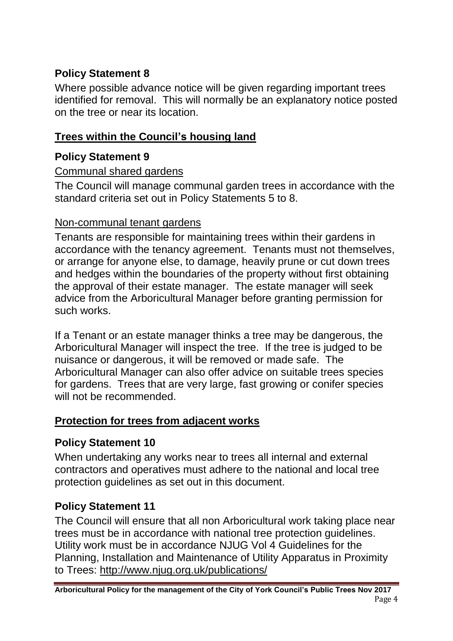# **Policy Statement 8**

Where possible advance notice will be given regarding important trees identified for removal. This will normally be an explanatory notice posted on the tree or near its location.

## **Trees within the Council's housing land**

### **Policy Statement 9**

#### Communal shared gardens

The Council will manage communal garden trees in accordance with the standard criteria set out in Policy Statements 5 to 8.

### Non-communal tenant gardens

Tenants are responsible for maintaining trees within their gardens in accordance with the tenancy agreement. Tenants must not themselves, or arrange for anyone else, to damage, heavily prune or cut down trees and hedges within the boundaries of the property without first obtaining the approval of their estate manager. The estate manager will seek advice from the Arboricultural Manager before granting permission for such works.

If a Tenant or an estate manager thinks a tree may be dangerous, the Arboricultural Manager will inspect the tree. If the tree is judged to be nuisance or dangerous, it will be removed or made safe. The Arboricultural Manager can also offer advice on suitable trees species for gardens. Trees that are very large, fast growing or conifer species will not be recommended.

### **Protection for trees from adjacent works**

# **Policy Statement 10**

When undertaking any works near to trees all internal and external contractors and operatives must adhere to the national and local tree protection guidelines as set out in this document.

# **Policy Statement 11**

The Council will ensure that all non Arboricultural work taking place near trees must be in accordance with national tree protection guidelines. Utility work must be in accordance NJUG Vol 4 Guidelines for the Planning, Installation and Maintenance of Utility Apparatus in Proximity to Trees: <http://www.njug.org.uk/publications/>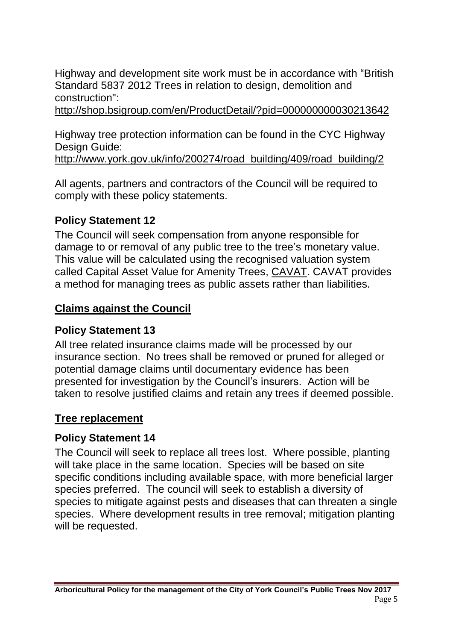Highway and development site work must be in accordance with "British Standard 5837 2012 Trees in relation to design, demolition and construction":

<http://shop.bsigroup.com/en/ProductDetail/?pid=000000000030213642>

Highway tree protection information can be found in the CYC Highway Design Guide:

[http://www.york.gov.uk/info/200274/road\\_building/409/road\\_building/2](http://www.york.gov.uk/info/200274/road_building/409/road_building/2)

All agents, partners and contractors of the Council will be required to comply with these policy statements.

### **Policy Statement 12**

The Council will seek compensation from anyone responsible for damage to or removal of any public tree to the tree's monetary value. This value will be calculated using the recognised valuation system called Capital Asset Value for Amenity Trees, [CAVAT.](http://www.ltoa.org.uk/resources/cavat) CAVAT provides a method for managing trees as public assets rather than liabilities.

## **Claims against the Council**

### **Policy Statement 13**

All tree related insurance claims made will be processed by our insurance section. No trees shall be removed or pruned for alleged or potential damage claims until documentary evidence has been presented for investigation by the Council's insurers. Action will be taken to resolve justified claims and retain any trees if deemed possible.

### **Tree replacement**

### **Policy Statement 14**

The Council will seek to replace all trees lost. Where possible, planting will take place in the same location. Species will be based on site specific conditions including available space, with more beneficial larger species preferred. The council will seek to establish a diversity of species to mitigate against pests and diseases that can threaten a single species. Where development results in tree removal; mitigation planting will be requested.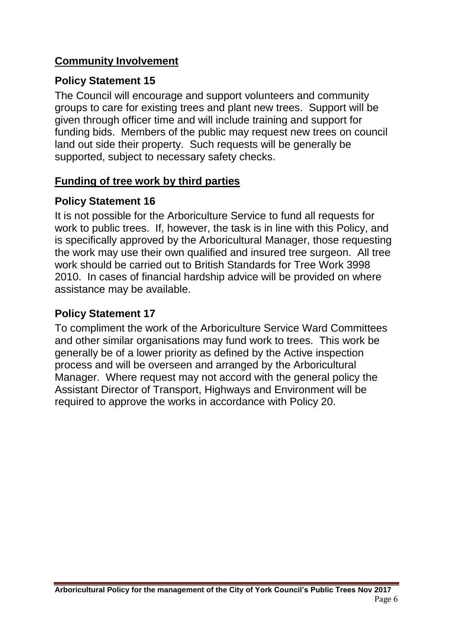### **Community Involvement**

#### **Policy Statement 15**

The Council will encourage and support volunteers and community groups to care for existing trees and plant new trees. Support will be given through officer time and will include training and support for funding bids. Members of the public may request new trees on council land out side their property. Such requests will be generally be supported, subject to necessary safety checks.

### **Funding of tree work by third parties**

#### **Policy Statement 16**

It is not possible for the Arboriculture Service to fund all requests for work to public trees. If, however, the task is in line with this Policy, and is specifically approved by the Arboricultural Manager, those requesting the work may use their own qualified and insured tree surgeon. All tree work should be carried out to British Standards for Tree Work 3998 2010. In cases of financial hardship advice will be provided on where assistance may be available.

## **Policy Statement 17**

To compliment the work of the Arboriculture Service Ward Committees and other similar organisations may fund work to trees. This work be generally be of a lower priority as defined by the Active inspection process and will be overseen and arranged by the Arboricultural Manager. Where request may not accord with the general policy the Assistant Director of Transport, Highways and Environment will be required to approve the works in accordance with Policy 20.